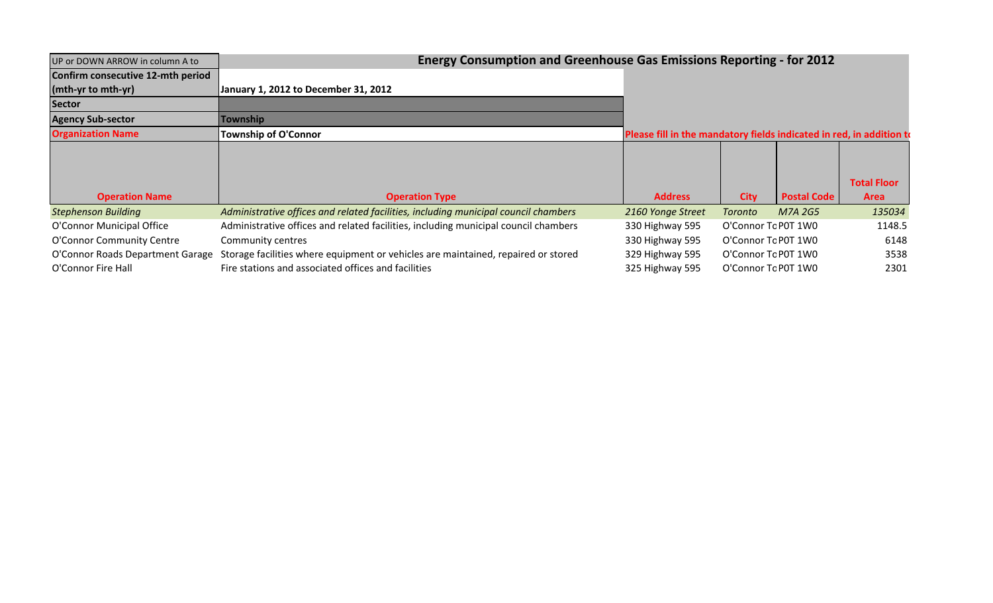| UP or DOWN ARROW in column A to   | <b>Energy Consumption and Greenhouse Gas Emissions Reporting - for 2012</b>         |                                                                      |                     |                    |                    |  |  |  |  |
|-----------------------------------|-------------------------------------------------------------------------------------|----------------------------------------------------------------------|---------------------|--------------------|--------------------|--|--|--|--|
| Confirm consecutive 12-mth period |                                                                                     |                                                                      |                     |                    |                    |  |  |  |  |
| $(mth-yr)$ to mth-yr)             | January 1, 2012 to December 31, 2012                                                |                                                                      |                     |                    |                    |  |  |  |  |
| <b>Sector</b>                     |                                                                                     |                                                                      |                     |                    |                    |  |  |  |  |
| <b>Agency Sub-sector</b>          | Township                                                                            |                                                                      |                     |                    |                    |  |  |  |  |
| <b>Organization Name</b>          | <b>Township of O'Connor</b>                                                         | Please fill in the mandatory fields indicated in red, in addition to |                     |                    |                    |  |  |  |  |
|                                   |                                                                                     |                                                                      |                     |                    |                    |  |  |  |  |
|                                   |                                                                                     |                                                                      |                     |                    |                    |  |  |  |  |
|                                   |                                                                                     |                                                                      |                     |                    | <b>Total Floor</b> |  |  |  |  |
| <b>Operation Name</b>             | <b>Operation Type</b>                                                               | <b>Address</b>                                                       | <b>City</b>         | <b>Postal Code</b> | <b>Area</b>        |  |  |  |  |
| <b>Stephenson Building</b>        | Administrative offices and related facilities, including municipal council chambers | 2160 Yonge Street                                                    | Toronto             | M7A 2G5            | 135034             |  |  |  |  |
| O'Connor Municipal Office         | Administrative offices and related facilities, including municipal council chambers | 330 Highway 595                                                      | O'Connor Tc P0T 1W0 |                    | 1148.5             |  |  |  |  |
| O'Connor Community Centre         | Community centres                                                                   | 330 Highway 595                                                      | O'Connor Tc P0T 1W0 |                    | 6148               |  |  |  |  |
| O'Connor Roads Department Garage  | Storage facilities where equipment or vehicles are maintained, repaired or stored   | 329 Highway 595                                                      | O'Connor Tc P0T 1W0 |                    | 3538               |  |  |  |  |
| O'Connor Fire Hall                | Fire stations and associated offices and facilities                                 | 325 Highway 595                                                      | O'Connor Tc P0T 1W0 |                    | 2301               |  |  |  |  |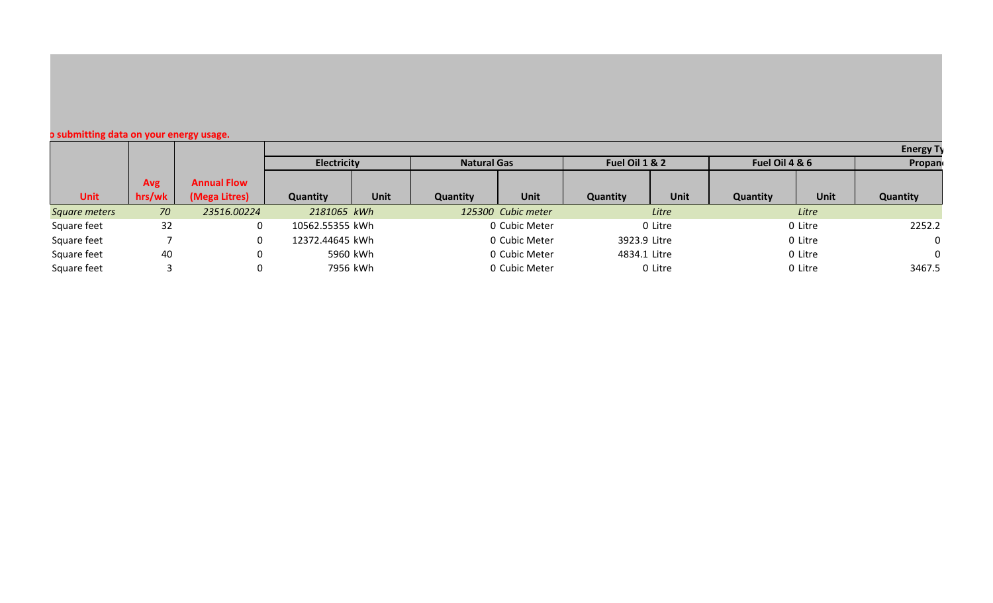## **o submitting data on your energy usage.**

|               |        |                    |                    |             |                    |                    |                 |         |                 |             | <b>Energy Ty</b> |
|---------------|--------|--------------------|--------------------|-------------|--------------------|--------------------|-----------------|---------|-----------------|-------------|------------------|
|               |        |                    | <b>Electricity</b> |             | <b>Natural Gas</b> |                    | Fuel Oil 1 & 2  |         | Fuel Oil 4 & 6  |             | Propan           |
|               | Avg    | <b>Annual Flow</b> |                    |             |                    |                    |                 |         |                 |             |                  |
| <b>Unit</b>   | hrs/wk | (Mega Litres)      | <b>Quantity</b>    | <b>Unit</b> | <b>Quantity</b>    | <b>Unit</b>        | <b>Quantity</b> | Unit    | <b>Quantity</b> | <b>Unit</b> | <b>Quantity</b>  |
| Square meters | 70     | 23516.00224        | 2181065 kWh        |             |                    | 125300 Cubic meter |                 | Litre   |                 | Litre       |                  |
| Square feet   | 32     |                    | 10562.55355 kWh    |             |                    | 0 Cubic Meter      |                 | 0 Litre |                 | 0 Litre     | 2252.2           |
| Square feet   |        |                    | 12372.44645 kWh    |             |                    | 0 Cubic Meter      | 3923.9 Litre    |         |                 | 0 Litre     | $\Omega$         |
| Square feet   | 40     |                    |                    | 5960 kWh    |                    | 0 Cubic Meter      | 4834.1 Litre    |         |                 | 0 Litre     | $\Omega$         |
| Square feet   |        |                    |                    | 7956 kWh    |                    | 0 Cubic Meter      |                 | 0 Litre |                 | 0 Litre     | 3467.5           |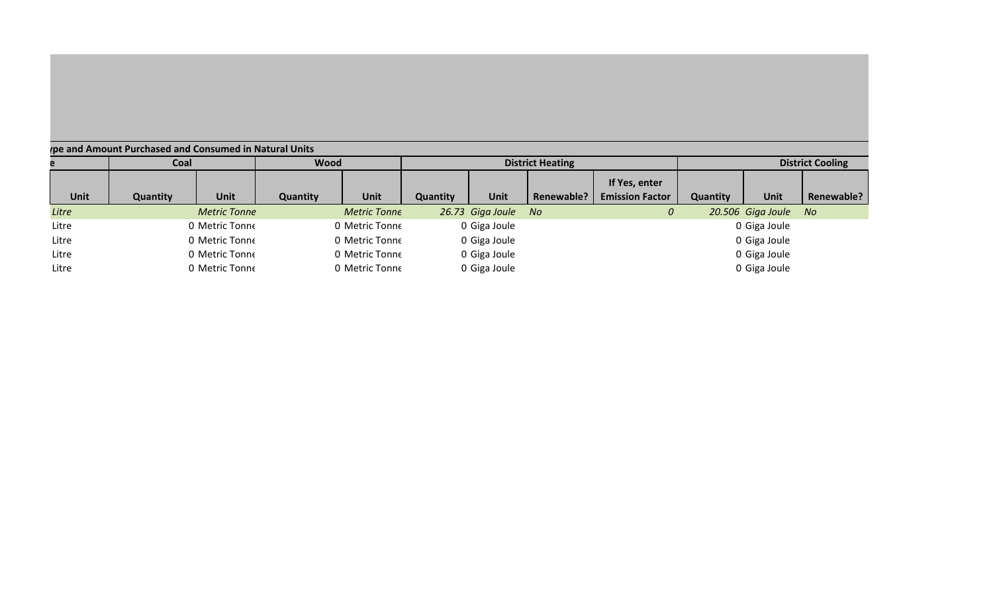| pe and Amount Purchased and Consumed in Natural Units |                 |                     |                 |                     |                         |                  |                   |                        |                         |                   |            |
|-------------------------------------------------------|-----------------|---------------------|-----------------|---------------------|-------------------------|------------------|-------------------|------------------------|-------------------------|-------------------|------------|
|                                                       | Coal            |                     | <b>Wood</b>     |                     | <b>District Heating</b> |                  |                   |                        | <b>District Cooling</b> |                   |            |
|                                                       |                 |                     |                 |                     |                         |                  |                   | If Yes, enter          |                         |                   |            |
| <b>Unit</b>                                           | <b>Quantity</b> | <b>Unit</b>         | <b>Quantity</b> | <b>Unit</b>         | <b>Quantity</b>         | <b>Unit</b>      | <b>Renewable?</b> | <b>Emission Factor</b> | <b>Quantity</b>         | <b>Unit</b>       | Renewable? |
| Litre                                                 |                 | <b>Metric Tonne</b> |                 | <b>Metric Tonne</b> |                         | 26.73 Giga Joule | No.               | 0                      |                         | 20.506 Giga Joule | <b>No</b>  |
| Litre                                                 |                 | 0 Metric Tonne      |                 | 0 Metric Tonne      |                         | 0 Giga Joule     |                   |                        |                         | 0 Giga Joule      |            |
| Litre                                                 |                 | 0 Metric Tonne      |                 | 0 Metric Tonne      |                         | 0 Giga Joule     |                   |                        |                         | 0 Giga Joule      |            |
| Litre                                                 |                 | 0 Metric Tonne      |                 | 0 Metric Tonne      |                         | 0 Giga Joule     |                   |                        |                         | 0 Giga Joule      |            |
| Litre                                                 |                 | 0 Metric Tonne      |                 | 0 Metric Tonne      |                         | 0 Giga Joule     |                   |                        |                         | 0 Giga Joule      |            |